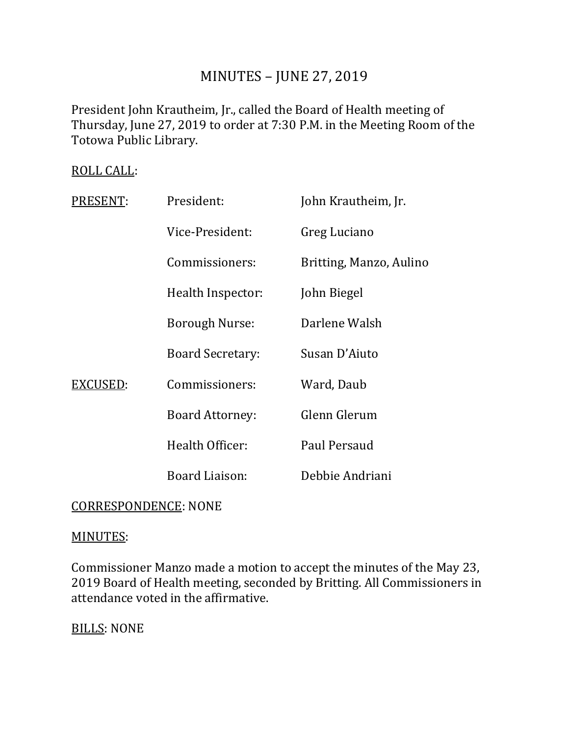# MINUTES – JUNE 27, 2019

President John Krautheim, Jr., called the Board of Health meeting of Thursday, June 27, 2019 to order at 7:30 P.M. in the Meeting Room of the Totowa Public Library.

# ROLL CALL:

| PRESENT: | President:              | John Krautheim, Jr.     |
|----------|-------------------------|-------------------------|
|          | Vice-President:         | Greg Luciano            |
|          | Commissioners:          | Britting, Manzo, Aulino |
|          | Health Inspector:       | John Biegel             |
|          | <b>Borough Nurse:</b>   | Darlene Walsh           |
|          | <b>Board Secretary:</b> | Susan D'Aiuto           |
| EXCUSED: | Commissioners:          | Ward, Daub              |
|          | <b>Board Attorney:</b>  | Glenn Glerum            |
|          | Health Officer:         | Paul Persaud            |
|          | Board Liaison:          | Debbie Andriani         |

# CORRESPONDENCE: NONE

#### MINUTES:

Commissioner Manzo made a motion to accept the minutes of the May 23, 2019 Board of Health meeting, seconded by Britting. All Commissioners in attendance voted in the affirmative.

BILLS: NONE